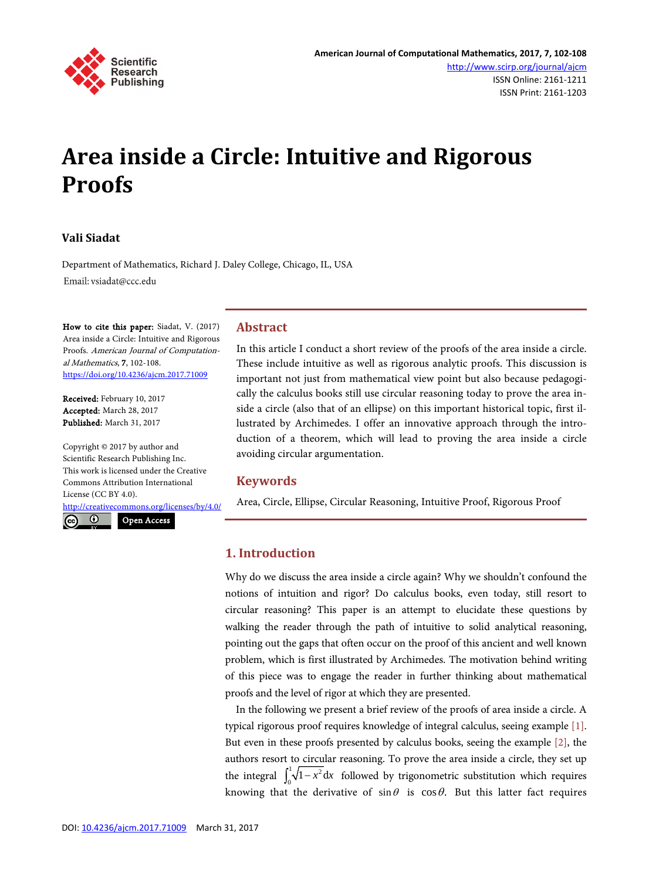

# **Area inside a Circle: Intuitive and Rigorous Proofs**

#### **Vali Siadat**

Department of Mathematics, Richard J. Daley College, Chicago, IL, USA Email: vsiadat@ccc.edu

How to cite this paper: Siadat, V. (2017) Area inside a Circle: Intuitive and Rigorous Proofs. American Journal of Computational Mathematics, 7, 102-108. <https://doi.org/10.4236/ajcm.2017.71009>

Received: February 10, 2017 Accepted: March 28, 2017 Published: March 31, 2017

Copyright © 2017 by author and Scientific Research Publishing Inc. This work is licensed under the Creative Commons Attribution International License (CC BY 4.0).

<http://creativecommons.org/licenses/by/4.0/>

 $\odot$  $\left(\mathrm{cc}\right)$ Open Access

### **Abstract**

In this article I conduct a short review of the proofs of the area inside a circle. These include intuitive as well as rigorous analytic proofs. This discussion is important not just from mathematical view point but also because pedagogically the calculus books still use circular reasoning today to prove the area inside a circle (also that of an ellipse) on this important historical topic, first illustrated by Archimedes. I offer an innovative approach through the introduction of a theorem, which will lead to proving the area inside a circle avoiding circular argumentation.

#### **Keywords**

Area, Circle, Ellipse, Circular Reasoning, Intuitive Proof, Rigorous Proof

### **1. Introduction**

Why do we discuss the area inside a circle again? Why we shouldn't confound the notions of intuition and rigor? Do calculus books, even today, still resort to circular reasoning? This paper is an attempt to elucidate these questions by walking the reader through the path of intuitive to solid analytical reasoning, pointing out the gaps that often occur on the proof of this ancient and well known problem, which is first illustrated by Archimedes. The motivation behind writing of this piece was to engage the reader in further thinking about mathematical proofs and the level of rigor at which they are presented.

In the following we present a brief review of the proofs of area inside a circle. A typical rigorous proof requires knowledge of integral calculus, seeing example [\[1\].](#page-6-0)  But even in these proofs presented by calculus books, seeing the example [\[2\],](#page-6-1) the authors resort to circular reasoning. To prove the area inside a circle, they set up the integral  $\int_0^1 \sqrt{1-x^2} dx$  followed by trigonometric substitution which requires knowing that the derivative of  $\sin \theta$  is  $\cos \theta$ . But this latter fact requires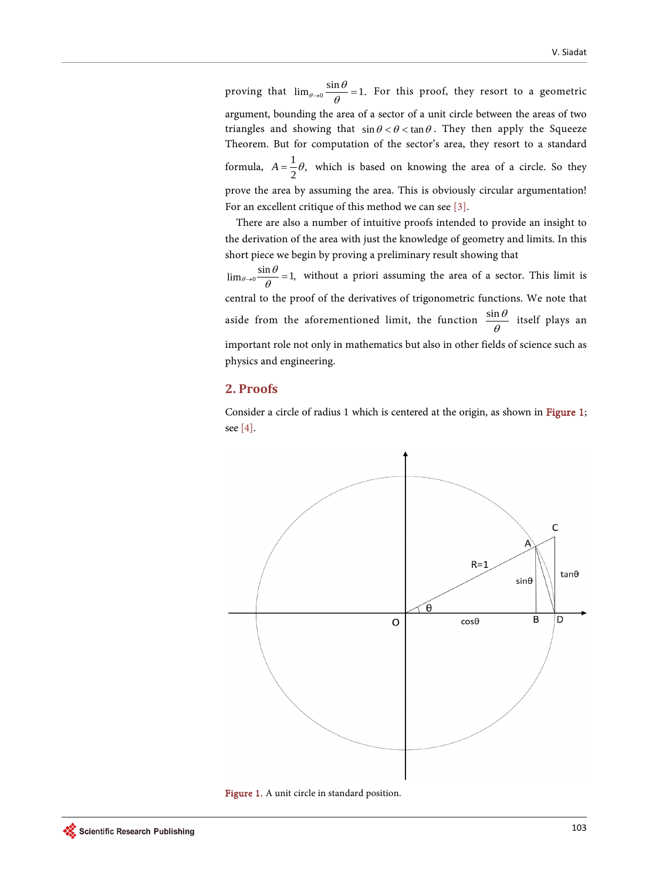proving that  $\lim_{\theta \to 0} \frac{\sin \theta}{\theta} = 1$ . For this proof, they resort to a geometric argument, bounding the area of a sector of a unit circle between the areas of two triangles and showing that  $\sin \theta < \theta < \tan \theta$ . They then apply the Squeeze Theorem. But for computation of the sector's area, they resort to a standard formula,  $A = \frac{1}{2}\theta$ , which is based on knowing the area of a circle. So they prove the area by assuming the area. This is obviously circular argumentation! For an excellent critique of this method we can see [\[3\].](#page-6-2)

There are also a number of intuitive proofs intended to provide an insight to the derivation of the area with just the knowledge of geometry and limits. In this short piece we begin by proving a preliminary result showing that

 $\lim_{\theta \to 0} \frac{\sin \theta}{\theta} = 1$ , without a priori assuming the area of a sector. This limit is central to the proof of the derivatives of trigonometric functions. We note that aside from the aforementioned limit, the function  $\frac{\sin\theta}{\theta}$  itself plays an important role not only in mathematics but also in other fields of science such as physics and engineering.

# **2. Proofs**

Consider a circle of radius 1 which is centered at the origin, as shown in [Figure 1;](#page-1-0)  see [\[4\].](#page-6-3)

<span id="page-1-0"></span>

Figure 1. A unit circle in standard position.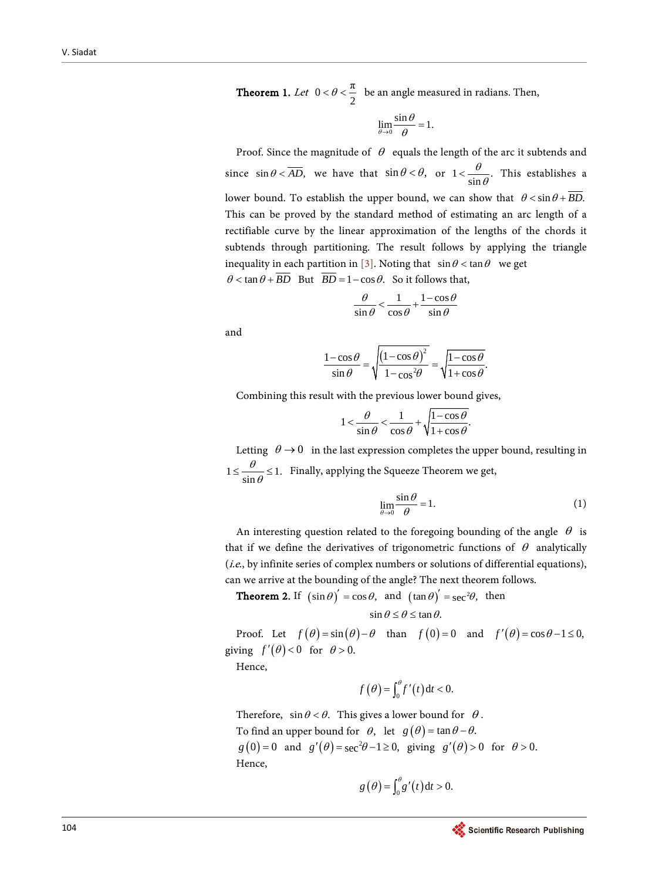**Theorem 1.** Let  $0 < \theta < \frac{\pi}{2}$  be an angle measured in radians. Then,

$$
\lim_{\theta \to 0} \frac{\sin \theta}{\theta} = 1.
$$

Proof. Since the magnitude of  $\theta$  equals the length of the arc it subtends and since  $\sin \theta < AD$ , we have that  $\sin \theta < \theta$ , or  $1 < \frac{\theta}{\sin \theta}$ . θ  $\langle \frac{\partial}{\sin \theta} \rangle$ . This establishes a lower bound. To establish the upper bound, we can show that  $\theta \leq \sin \theta + \overline{BD}$ . This can be proved by the standard method of estimating an arc length of a rectifiable curve by the linear approximation of the lengths of the chords it subtends through partitioning. The result follows by applying the triangle inequality in each partition in [\[3\].](#page-6-2) Noting that  $\sin \theta < \tan \theta$  we get  $\theta < \tan \theta + \overline{BD}$  But  $\overline{BD} = 1 - \cos \theta$ . So it follows that,

$$
\frac{\theta}{\sin \theta} < \frac{1}{\cos \theta} + \frac{1 - \cos \theta}{\sin \theta}
$$

and

$$
\frac{1-\cos\theta}{\sin\theta} = \sqrt{\frac{(1-\cos\theta)^2}{1-\cos^2\theta}} = \sqrt{\frac{1-\cos\theta}{1+\cos\theta}}.
$$

Combining this result with the previous lower bound gives,

$$
1 < \frac{\theta}{\sin \theta} < \frac{1}{\cos \theta} + \sqrt{\frac{1 - \cos \theta}{1 + \cos \theta}}.
$$

Letting  $\theta \rightarrow 0$  in the last expression completes the upper bound, resulting in  $1 \le \frac{6}{\sin \theta} \le 1.$ θ  $\leq \frac{6}{\sin \theta} \leq 1$ . Finally, applying the Squeeze Theorem we get,

$$
\lim_{\theta \to 0} \frac{\sin \theta}{\theta} = 1.
$$
 (1)

An interesting question related to the foregoing bounding of the angle  $\theta$  is that if we define the derivatives of trigonometric functions of  $\theta$  analytically (i.e., by infinite series of complex numbers or solutions of differential equations), can we arrive at the bounding of the angle? The next theorem follows.

**Theorem 2.** If  $(\sin \theta)' = \cos \theta$ , and  $(\tan \theta)' = \sec^2 \theta$ , then

$$
\sin \theta \le \theta \le \tan \theta.
$$

Proof. Let  $f(\theta) = \sin(\theta) - \theta$  than  $f(0) = 0$  and  $f'(\theta) = \cos \theta - 1 \le 0$ , giving  $f'(\theta) < 0$  for  $\theta > 0$ .

Hence,

$$
f(\theta) = \int_0^{\theta} f'(t) dt < 0.
$$

Therefore,  $\sin \theta < \theta$ . This gives a lower bound for  $\theta$ . To find an upper bound for  $\theta$ , let  $g(\theta) = \tan \theta - \theta$ .  $g(0) = 0$  and  $g'(\theta) = \sec^2 \theta - 1 \ge 0$ , giving  $g'(\theta) > 0$  for  $\theta > 0$ . Hence,

$$
g(\theta) = \int_0^\theta g'(t) \, \mathrm{d}t > 0.
$$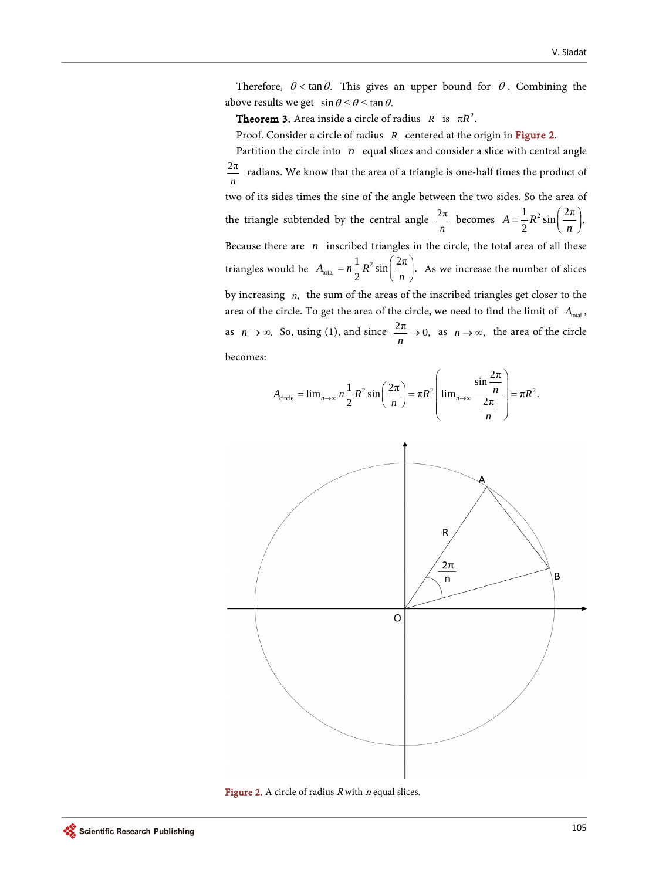Therefore,  $\theta$  < tan  $\theta$ . This gives an upper bound for  $\theta$ . Combining the above results we get  $\sin \theta \le \theta \le \tan \theta$ .

**Theorem 3.** Area inside a circle of radius *R* is  $\pi R^2$ .

Proof. Consider a circle of radius *R* centered at the origin in [Figure 2.](#page-3-0)

Partition the circle into *n* equal slices and consider a slice with central angle  $\frac{2\pi}{n}$ *<sup>n</sup>* radians. We know that the area of a triangle is one-half times the product of two of its sides times the sine of the angle between the two sides. So the area of the triangle subtended by the central angle  $\frac{2\pi}{n}$  becomes  $A = \frac{1}{2}R^2 \sin\left(\frac{2\pi}{n}\right)$ .  $A = -R$  $=\frac{1}{2}R^2\sin\left(\frac{2\pi}{n}\right)$ Because there are *n* inscribed triangles in the circle, the total area of all these triangles would be  $A_{\text{total}} = n \frac{1}{2} R^2 \sin \left( \frac{2\pi}{n} \right)$ . 2  $A_{\text{total}} = n - R$  $= n\frac{1}{2}R^2 \sin\left(\frac{2\pi}{n}\right)$ . As we increase the number of slices by increasing *n*, the sum of the areas of the inscribed triangles get closer to the area of the circle. To get the area of the circle, we need to find the limit of *A*<sub>total</sub>, as  $n \to \infty$ . So, using (1), and since  $\frac{2\pi}{n} \to 0$ , as  $n \to \infty$ , the area of the circle becomes:

<span id="page-3-0"></span>

Figure 2. A circle of radius  $R$  with  $n$  equal slices.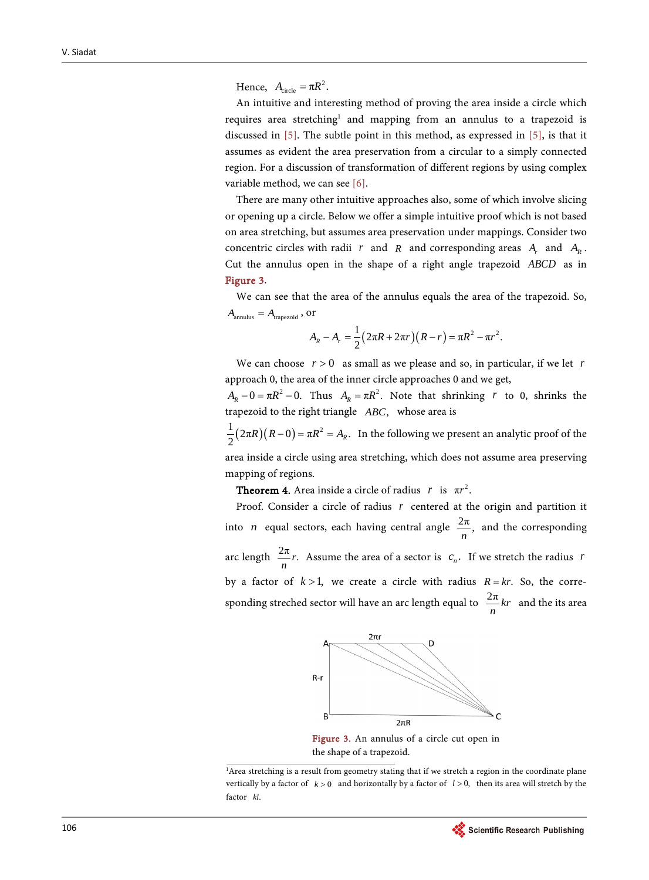Hence,  $A_{\text{circle}} = \pi R^2$ .

An intuitive and interesting method of proving the area inside a circle which requires area stretching<sup>1</sup> and mapping from an annulus to a trapezoid is discussed in [\[5\].](#page-6-4) The subtle point in this method, as expressed in [\[5\],](#page-6-4) is that it assumes as evident the area preservation from a circular to a simply connected region. For a discussion of transformation of different regions by using complex variable method, we can se[e \[6\].](#page-6-5)

There are many other intuitive approaches also, some of which involve slicing or opening up a circle. Below we offer a simple intuitive proof which is not based on area stretching, but assumes area preservation under mappings. Consider two concentric circles with radii *r* and *R* and corresponding areas  $A_r$  and  $A_p$ . Cut the annulus open in the shape of a right angle trapezoid *ABCD* as in [Figure 3.](#page-4-0)

We can see that the area of the annulus equals the area of the trapezoid. So,  $A_{\text{annulus}} = A_{\text{trapezoid}}$ , or

$$
A_R - A_r = \frac{1}{2} (2\pi R + 2\pi r)(R - r) = \pi R^2 - \pi r^2.
$$

We can choose  $r > 0$  as small as we please and so, in particular, if we let *r* approach 0, the area of the inner circle approaches 0 and we get,

 $A_R - 0 = \pi R^2 - 0$ . Thus  $A_R = \pi R^2$ . Note that shrinking *r* to 0, shrinks the trapezoid to the right triangle *ABC*, whose area is

 $\frac{1}{2}(2\pi R)(R-0) = \pi R^2 = A_R$ . In the following we present an analytic proof of the area inside a circle using area stretching, which does not assume area preserving mapping of regions.

**Theorem 4.** Area inside a circle of radius *r* is  $\pi r^2$ .

<span id="page-4-0"></span>Proof. Consider a circle of radius *r* centered at the origin and partition it into *n* equal sectors, each having central angle  $\frac{2\pi}{n}$ , and the corresponding arc length  $\frac{2\pi}{n}r$ . Assume the area of a sector is  $c_n$ . If we stretch the radius *r* by a factor of  $k > 1$ , we create a circle with radius  $R = kr$ . So, the corresponding streched sector will have an arc length equal to  $\frac{2\pi}{n}kr$  and the its area



Figure 3. An annulus of a circle cut open in the shape of a trapezoid.

<sup>1</sup>Area stretching is a result from geometry stating that if we stretch a region in the coordinate plane vertically by a factor of *k* > 0 and horizontally by a factor of *l* > 0, then its area will stretch by the factor *kl*.

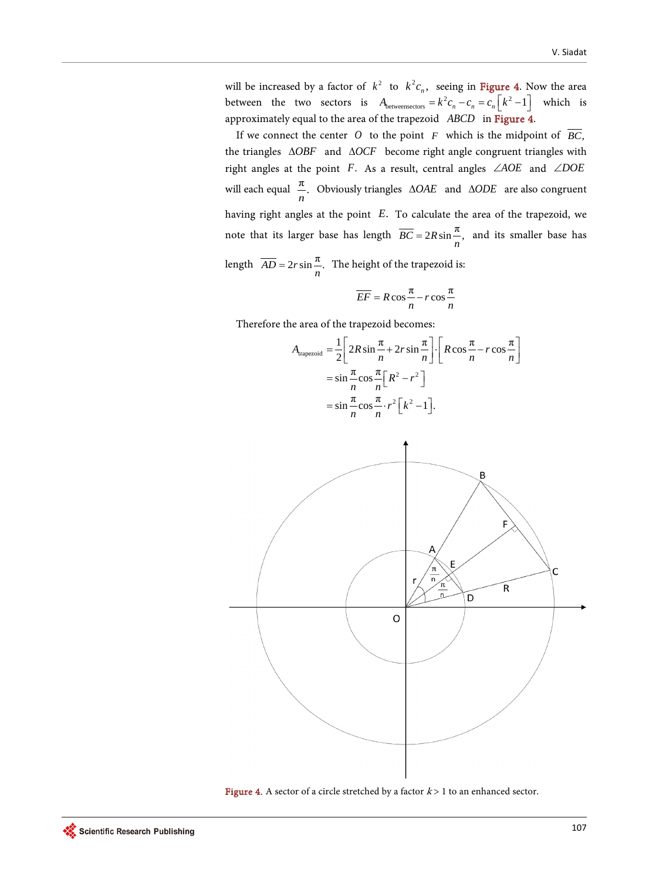will be increased by a factor of  $k^2$  to  $k^2 c_n$ , seeing in [Figure 4.](#page-5-0) Now the area between the two sectors is  $A_{between sectors} = k^2 c_n - c_n = c_n \left\lfloor k^2 - 1 \right\rfloor$  which is approximately equal to the area of the trapezoid *ABCD* in [Figure 4.](#page-5-0)

If we connect the center O to the point  $F$  which is the midpoint of  $\overline{BC}$ , the triangles ∆*OBF* and ∆*OCF* become right angle congruent triangles with right angles at the point *F*. As a result, central angles ∠*AOE* and ∠*DOE* will each equal  $\frac{\pi}{n}$ . Obviously triangles  $\triangle OAE$  and  $\triangle ODE$  are also congruent having right angles at the point *E*. To calculate the area of the trapezoid, we note that its larger base has length  $\overline{BC} = 2R \sin \frac{\pi}{n}$ , and its smaller base has length  $\overline{AD} = 2r \sin \frac{\pi}{n}$ . The height of the trapezoid is:

$$
\overline{EF} = R\cos\frac{\pi}{n} - r\cos\frac{\pi}{n}
$$

Therefore the area of the trapezoid becomes:

$$
A_{\text{trapezoid}} = \frac{1}{2} \left[ 2R \sin \frac{\pi}{n} + 2r \sin \frac{\pi}{n} \right] \cdot \left[ R \cos \frac{\pi}{n} - r \cos \frac{\pi}{n} \right]
$$

$$
= \sin \frac{\pi}{n} \cos \frac{\pi}{n} \left[ R^2 - r^2 \right]
$$

$$
= \sin \frac{\pi}{n} \cos \frac{\pi}{n} \cdot r^2 \left[ k^2 - 1 \right].
$$

<span id="page-5-0"></span>

Figure 4. A sector of a circle stretched by a factor  $k > 1$  to an enhanced sector.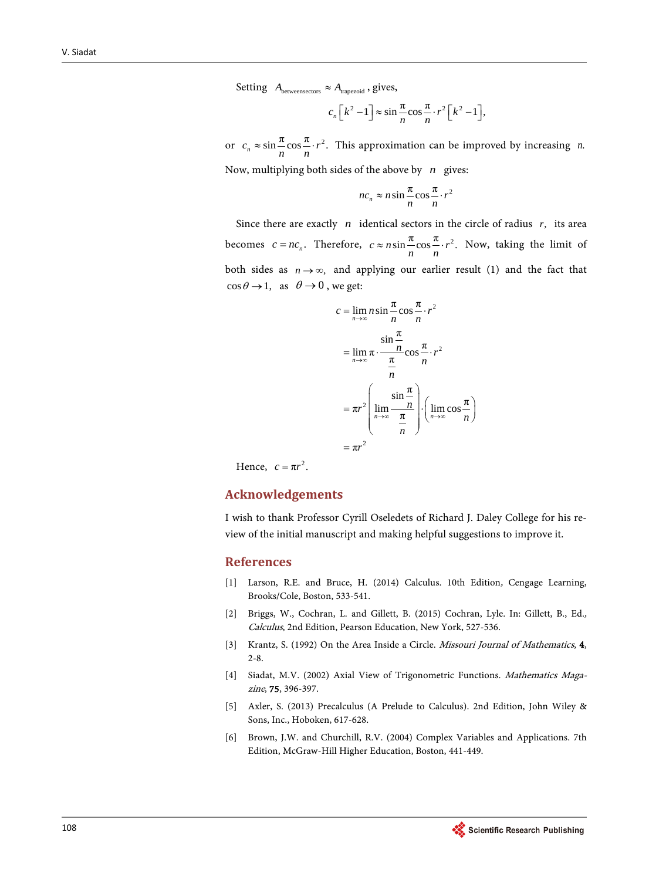Setting  $A_{\text{betweensectors}} \approx A_{\text{trapezoid}}$ , gives,

$$
c_n\left[k^2-1\right] \approx \sin\frac{\pi}{n}\cos\frac{\pi}{n}\cdot r^2\left[k^2-1\right],
$$

or  $c_n \approx \sin \frac{\pi}{n} \cos \frac{\pi}{n} \cdot r^2$ . This approximation can be improved by increasing *n*.

Now, multiplying both sides of the above by *n* gives:

$$
nc_n \approx n \sin \frac{\pi}{n} \cos \frac{\pi}{n} \cdot r^2
$$

Since there are exactly *n* identical sectors in the circle of radius *r*, its area becomes  $c = nc_n$ . Therefore,  $c \approx n \sin \frac{\pi}{n} \cos \frac{\pi}{n} \cdot r^2$ . Now, taking the limit of both sides as  $n \rightarrow \infty$ , and applying our earlier result (1) and the fact that  $\cos \theta \rightarrow 1$ , as  $\theta \rightarrow 0$ , we get:

$$
c = \lim_{n \to \infty} n \sin \frac{\pi}{n} \cos \frac{\pi}{n} \cdot r^2
$$
  
= 
$$
\lim_{n \to \infty} \pi \cdot \frac{\pi}{\frac{\pi}{n}} \cos \frac{\pi}{n} \cdot r^2
$$
  
= 
$$
\pi r^2 \left( \lim_{n \to \infty} \frac{\pi}{\frac{n}{n}} \right) \cdot \left( \lim_{n \to \infty} \cos \frac{\pi}{n} \right)
$$
  
= 
$$
\pi r^2
$$

Hence,  $c = \pi r^2$ .

#### **Acknowledgements**

I wish to thank Professor Cyrill Oseledets of Richard J. Daley College for his review of the initial manuscript and making helpful suggestions to improve it.

#### **References**

- <span id="page-6-0"></span>[1] Larson, R.E. and Bruce, H. (2014) Calculus. 10th Edition, Cengage Learning, Brooks/Cole, Boston, 533-541.
- <span id="page-6-1"></span>[2] Briggs, W., Cochran, L. and Gillett, B. (2015) Cochran, Lyle. In: Gillett, B., Ed., Calculus, 2nd Edition, Pearson Education, New York, 527-536.
- <span id="page-6-2"></span>[3] Krantz, S. (1992) On the Area Inside a Circle. *Missouri Journal of Mathematics*, 4, 2-8.
- <span id="page-6-3"></span>[4] Siadat, M.V. (2002) Axial View of Trigonometric Functions. Mathematics Magazine, 75, 396-397.
- <span id="page-6-4"></span>[5] Axler, S. (2013) Precalculus (A Prelude to Calculus). 2nd Edition, John Wiley & Sons, Inc., Hoboken, 617-628.
- <span id="page-6-5"></span>[6] Brown, J.W. and Churchill, R.V. (2004) Complex Variables and Applications. 7th Edition, McGraw-Hill Higher Education, Boston, 441-449.